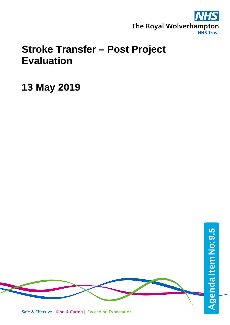

## **Stroke Transfer – Post Project Evaluation**

**13 May 2019**

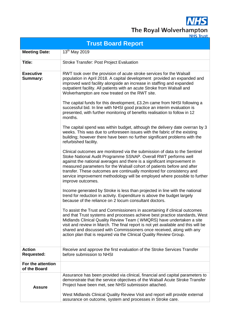**NHS** The Royal Wolverhampton

|                                     | <b>Trust Board Report</b>                                                                                                                                                                                                                                                                                                                                                                                                                                                        |
|-------------------------------------|----------------------------------------------------------------------------------------------------------------------------------------------------------------------------------------------------------------------------------------------------------------------------------------------------------------------------------------------------------------------------------------------------------------------------------------------------------------------------------|
| <b>Meeting Date:</b>                | 13 <sup>th</sup> May 2019                                                                                                                                                                                                                                                                                                                                                                                                                                                        |
| Title:                              | <b>Stroke Transfer: Post Project Evaluation</b>                                                                                                                                                                                                                                                                                                                                                                                                                                  |
| <b>Executive</b><br><b>Summary:</b> | RWT took over the provision of acute stroke services for the Walsall<br>population in April 2018. A capital development provided an expanded and<br>improved ward facility alongside an increase in staffing and expanded<br>outpatient facility. All patients with an acute Stroke from Walsall and<br>Wolverhampton are now treated on the RWT site.                                                                                                                           |
|                                     | The capital funds for this development, £3.2m came from NHSI following a<br>successful bid. In line with NHSI good practice an interim evaluation is<br>presented, with further monitoring of benefits realisation to follow in 12<br>months.                                                                                                                                                                                                                                    |
|                                     | The capital spend was within budget, although the delivery date overran by 3<br>weeks. This was due to unforeseen issues with the fabric of the existing<br>building; however there have been no further significant problems with the<br>refurbished facility.                                                                                                                                                                                                                  |
|                                     | Clinical outcomes are monitored via the submission of data to the Sentinel<br>Stoke National Audit Programme SSNAP. Overall RWT performs well<br>against the national averages and there is a significant improvement in<br>measured parameters for the Walsall cohort of patients before and after<br>transfer. These outcomes are continually monitored for consistency and<br>service improvement methodology will be employed where possible to further<br>improve outcomes. |
|                                     | Income generated by Stroke is less than projected in line with the national<br>trend for reduction in activity. Expenditure is above the budget largely<br>because of the reliance on 2 locum consultant doctors.                                                                                                                                                                                                                                                                |
|                                     | To assist the Trust and Commissioners in ascertaining if clinical outcomes<br>and that Trust systems and processes achieve best practice standards, West<br>Midlands Clinical Quality Review Team (WMQRS) have undertaken a site<br>visit and review in March. The final report is not yet available and this will be<br>shared and discussed with Commissioners once received, along with any<br>action plan that is required via the Clinical Quality Review Group.            |
| <b>Action</b><br><b>Requested:</b>  | Receive and approve the first evaluation of the Stroke Services Transfer<br>before submission to NHSI                                                                                                                                                                                                                                                                                                                                                                            |
| For the attention<br>of the Board   |                                                                                                                                                                                                                                                                                                                                                                                                                                                                                  |
| <b>Assure</b>                       | Assurance has been provided via clinical, financial and capital parameters to<br>demonstrate that the service objectives of the Walsall Acute Stroke Transfer<br>Project have been met, see NHSI submission attached.                                                                                                                                                                                                                                                            |
|                                     | West Midlands Clinical Quality Review Visit and report will provide external<br>assurance on outcome, system and processes in Stroke care.                                                                                                                                                                                                                                                                                                                                       |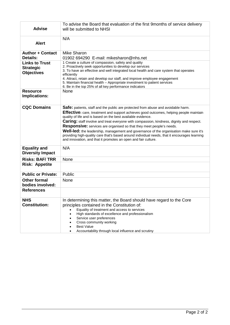| <b>Advise</b>             | To advise the Board that evaluation of the first 9months of service delivery<br>will be submitted to NHSI                                                             |
|---------------------------|-----------------------------------------------------------------------------------------------------------------------------------------------------------------------|
|                           | N/A                                                                                                                                                                   |
| <b>Alert</b>              |                                                                                                                                                                       |
| <b>Author + Contact</b>   | Mike Sharon                                                                                                                                                           |
| Details:                  | 01902 694290 E-mail: mikesharon@nhs.net                                                                                                                               |
| <b>Links to Trust</b>     | 1 Create a culture of compassion, safety and quality                                                                                                                  |
| <b>Strategic</b>          | 2. Proactively seek opportunities to develop our services                                                                                                             |
| <b>Objectives</b>         | 3. To have an effective and well integrated local health and care system that operates                                                                                |
|                           | efficiently                                                                                                                                                           |
|                           | 4. Attract, retain and develop our staff, and improve employee engagement<br>5. Maintain financial health - Appropriate investment to patient services                |
|                           | 6. Be in the top 25% of all key performance indicators                                                                                                                |
| <b>Resource</b>           | None                                                                                                                                                                  |
| Implications:             |                                                                                                                                                                       |
|                           |                                                                                                                                                                       |
| <b>CQC Domains</b>        |                                                                                                                                                                       |
|                           | Safe: patients, staff and the public are protected from abuse and avoidable harm.                                                                                     |
|                           | Effective: care, treatment and support achieves good outcomes, helping people maintain                                                                                |
|                           | quality of life and is based on the best available evidence.<br>Caring: staff involve and treat everyone with compassion, kindness, dignity and respect.              |
|                           |                                                                                                                                                                       |
|                           | <b>Responsive:</b> services are organised so that they meet people's needs.<br>Well-led: the leadership, management and governance of the organisation make sure it's |
|                           | providing high-quality care that's based around individual needs, that it encourages learning                                                                         |
|                           | and innovation, and that it promotes an open and fair culture.                                                                                                        |
|                           |                                                                                                                                                                       |
| <b>Equality and</b>       | N/A                                                                                                                                                                   |
| <b>Diversity Impact</b>   |                                                                                                                                                                       |
| <b>Risks: BAF/TRR</b>     | None                                                                                                                                                                  |
| <b>Risk: Appetite</b>     |                                                                                                                                                                       |
|                           |                                                                                                                                                                       |
| <b>Public or Private:</b> | Public                                                                                                                                                                |
| <b>Other formal</b>       | None                                                                                                                                                                  |
| bodies involved:          |                                                                                                                                                                       |
| <b>References</b>         |                                                                                                                                                                       |
| <b>NHS</b>                | In determining this matter, the Board should have regard to the Core                                                                                                  |
| <b>Constitution:</b>      | principles contained in the Constitution of:                                                                                                                          |
|                           | Equality of treatment and access to services                                                                                                                          |
|                           | High standards of excellence and professionalism                                                                                                                      |
|                           | Service user preferences                                                                                                                                              |
|                           | Cross community working                                                                                                                                               |
|                           | <b>Best Value</b>                                                                                                                                                     |
|                           | Accountability through local influence and scrutiny                                                                                                                   |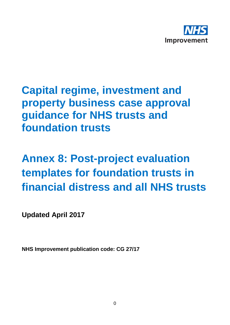

# **Capital regime, investment and property business case approval guidance for NHS trusts and foundation trusts**

# **Annex 8: Post-project evaluation templates for foundation trusts in financial distress and all NHS trusts**

**Updated April 2017**

**NHS Improvement publication code: CG 27/17**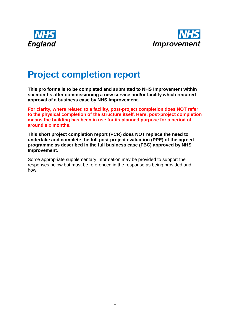



### **Project completion report**

**This pro forma is to be completed and submitted to NHS Improvement within six months after commissioning a new service and/or facility which required approval of a business case by NHS Improvement.** 

**For clarity, where related to a facility, post-project completion does NOT refer to the physical completion of the structure itself. Here, post-project completion means the building has been in use for its planned purpose for a period of around six months.** 

**This short project completion report (PCR) does NOT replace the need to undertake and complete the full post-project evaluation (PPE) of the agreed programme as described in the full business case (FBC) approved by NHS Improvement.**

Some appropriate supplementary information may be provided to support the responses below but must be referenced in the response as being provided and how.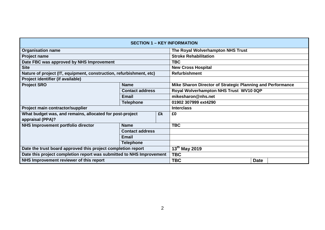|                                                                      |                        |    | <b>SECTION 1 - KEY INFORMATION</b>                         |             |  |  |  |
|----------------------------------------------------------------------|------------------------|----|------------------------------------------------------------|-------------|--|--|--|
| <b>Organisation name</b>                                             |                        |    | The Royal Wolverhampton NHS Trust                          |             |  |  |  |
| <b>Project name</b>                                                  |                        |    | <b>Stroke Rehabilitation</b>                               |             |  |  |  |
| Date FBC was approved by NHS Improvement                             |                        |    | <b>TBC</b>                                                 |             |  |  |  |
| <b>Site</b>                                                          |                        |    | <b>New Cross Hospital</b>                                  |             |  |  |  |
| Nature of project (IT, equipment, construction, refurbishment, etc)  |                        |    | <b>Refurbishment</b>                                       |             |  |  |  |
| Project identifier (if available)                                    |                        |    |                                                            |             |  |  |  |
| <b>Project SRO</b>                                                   | <b>Name</b>            |    | Mike Sharon Director of Strategic Planning and Performance |             |  |  |  |
|                                                                      | <b>Contact address</b> |    | Royal Wolverhampton NHS Trust WV10 0QP                     |             |  |  |  |
|                                                                      | <b>Email</b>           |    | mikesharon@nhs.net                                         |             |  |  |  |
|                                                                      | <b>Telephone</b>       |    | 01902 307999 ext4290                                       |             |  |  |  |
| Project main contractor/supplier                                     |                        |    | <b>Interclass</b>                                          |             |  |  |  |
| What budget was, and remains, allocated for post-project             |                        | £k | £0                                                         |             |  |  |  |
| appraisal (PPA)?                                                     |                        |    |                                                            |             |  |  |  |
| NHS Improvement portfolio director                                   | <b>Name</b>            |    | <b>TBC</b>                                                 |             |  |  |  |
|                                                                      | <b>Contact address</b> |    |                                                            |             |  |  |  |
|                                                                      | <b>Email</b>           |    |                                                            |             |  |  |  |
|                                                                      | <b>Telephone</b>       |    |                                                            |             |  |  |  |
| Date the trust board approved this project completion report         |                        |    | 13 <sup>th</sup> May 2019                                  |             |  |  |  |
| Date this project completion report was submitted to NHS Improvement |                        |    | <b>TBC</b>                                                 |             |  |  |  |
| NHS Improvement reviewer of this report                              |                        |    | <b>TBC</b>                                                 | <b>Date</b> |  |  |  |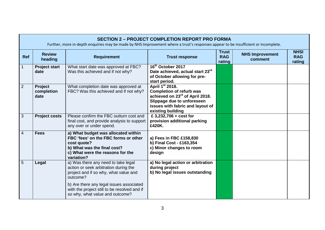|                | <b>SECTION 2 - PROJECT COMPLETION REPORT PRO FORMA</b><br>Further, more in-depth enquiries may be made by NHS Improvement where a trust's responses appear to be insufficient or incomplete. |                                                                                                                                                                             |                                                                                                                                                                                                      |                                      |                                   |                                     |  |  |
|----------------|----------------------------------------------------------------------------------------------------------------------------------------------------------------------------------------------|-----------------------------------------------------------------------------------------------------------------------------------------------------------------------------|------------------------------------------------------------------------------------------------------------------------------------------------------------------------------------------------------|--------------------------------------|-----------------------------------|-------------------------------------|--|--|
| <b>Ref</b>     | <b>Review</b><br>heading                                                                                                                                                                     | <b>Requirement</b>                                                                                                                                                          | <b>Trust response</b>                                                                                                                                                                                | <b>Trust</b><br><b>RAG</b><br>rating | <b>NHS Improvement</b><br>comment | <b>NHSI</b><br><b>RAG</b><br>rating |  |  |
|                | <b>Project start</b><br>date                                                                                                                                                                 | What start date was approved at FBC?<br>Was this achieved and if not why?                                                                                                   | 16 <sup>th</sup> October 2017<br>Date achieved, actual start 23rd<br>of October allowing for pre-<br>start period.                                                                                   |                                      |                                   |                                     |  |  |
| $\overline{2}$ | Project<br>completion<br>date                                                                                                                                                                | What completion date was approved at<br>FBC? Was this achieved and if not why?                                                                                              | April 1 <sup>st</sup> 2018.<br><b>Completion of refurb was</b><br>achieved on 23 <sup>rd</sup> of April 2018.<br>Slippage due to unforeseen<br>issues with fabric and layout of<br>existing building |                                      |                                   |                                     |  |  |
| 3              | <b>Project costs</b>                                                                                                                                                                         | Please confirm the FBC outturn cost and<br>final cost, and provide analysis to support<br>any over or under spend.                                                          | £ 3,232,706 + $cost$ for<br>provision additional parking<br>£420K.                                                                                                                                   |                                      |                                   |                                     |  |  |
| $\overline{4}$ | <b>Fees</b>                                                                                                                                                                                  | a) What budget was allocated within<br>FBC 'fees' on the FBC forms or other<br>cost quote?<br>b) What was the final cost?<br>c) What were the reasons for the<br>variation? | a) Fees in FBC £158,830<br>b) Final Cost - £163,354<br>c) Minor changes to room<br>design                                                                                                            |                                      |                                   |                                     |  |  |
| 5              | Legal                                                                                                                                                                                        | a) Was there any need to take legal<br>action or seek arbitration during the<br>project and if so why, what value and<br>outcome?                                           | a) No legal action or arbitration<br>during project<br>b) No legal issues outstanding                                                                                                                |                                      |                                   |                                     |  |  |
|                |                                                                                                                                                                                              | b) Are there any legal issues associated<br>with the project still to be resolved and if<br>so why, what value and outcome?                                                 |                                                                                                                                                                                                      |                                      |                                   |                                     |  |  |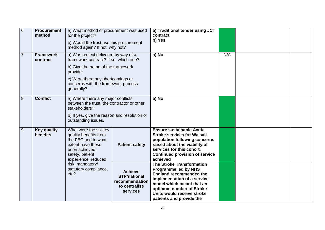| $6\phantom{1}6$ | <b>Procurement</b><br>method                                                                                         | a) What method of procurement was used<br>for the project?<br>b) Would the trust use this procurement<br>method again? If not, why not?                |                                                                                      | a) Traditional tender using JCT<br>contract<br>b) Yes                                                                                                                                                                                               |     |  |
|-----------------|----------------------------------------------------------------------------------------------------------------------|--------------------------------------------------------------------------------------------------------------------------------------------------------|--------------------------------------------------------------------------------------|-----------------------------------------------------------------------------------------------------------------------------------------------------------------------------------------------------------------------------------------------------|-----|--|
| $\overline{7}$  | <b>Framework</b><br>contract                                                                                         | a) Was project delivered by way of a<br>framework contract? If so, which one?                                                                          |                                                                                      | a) No                                                                                                                                                                                                                                               | N/A |  |
|                 |                                                                                                                      | b) Give the name of the framework<br>provider.                                                                                                         |                                                                                      |                                                                                                                                                                                                                                                     |     |  |
|                 |                                                                                                                      | c) Were there any shortcomings or<br>concerns with the framework process<br>generally?                                                                 |                                                                                      |                                                                                                                                                                                                                                                     |     |  |
| 8               | <b>Conflict</b><br>a) Where there any major conflicts<br>between the trust, the contractor or other<br>stakeholders? |                                                                                                                                                        | a) No                                                                                |                                                                                                                                                                                                                                                     |     |  |
|                 |                                                                                                                      | b) If yes, give the reason and resolution or<br>outstanding issues.                                                                                    |                                                                                      |                                                                                                                                                                                                                                                     |     |  |
| 9               | <b>Key quality</b><br>benefits                                                                                       | What were the six key<br>quality benefits from<br>the FBC and to what<br>extent have these<br>been achieved:<br>safety, patient<br>experience, reduced | <b>Patient safety</b>                                                                | <b>Ensure sustainable Acute</b><br><b>Stroke services for Walsall</b><br>population following concerns<br>raised about the viability of<br>services for this cohort.<br><b>Continued provision of service</b><br>achieved                           |     |  |
|                 |                                                                                                                      | risk, mandatory/<br>statutory compliance,<br>etc?                                                                                                      | <b>Achieve</b><br><b>STP/national</b><br>recommendation<br>to centralise<br>services | <b>The Stroke Transformation</b><br><b>Programme led by NHS</b><br><b>England recommended the</b><br>implementation of a service<br>model which meant that an<br>optimum number of Stroke<br>Units would receive stroke<br>patients and provide the |     |  |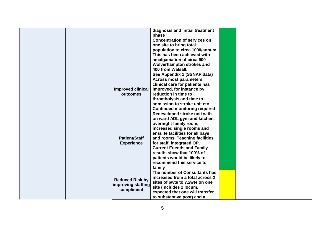| diagnosis and initial treatment                          |  |  |
|----------------------------------------------------------|--|--|
| phase                                                    |  |  |
| <b>Concentration of services on</b>                      |  |  |
| one site to bring total                                  |  |  |
| population to circa 1000/annum                           |  |  |
| This has been achieved with                              |  |  |
| amalgamation of circa 600                                |  |  |
| Wolverhampton strokes and                                |  |  |
| 400 from Walsall.                                        |  |  |
| See Appendix 1 (SSNAP data)                              |  |  |
| <b>Across most parameters</b>                            |  |  |
| clinical care for patients has                           |  |  |
| <b>Improved clinical</b><br>improved, for instance by    |  |  |
| reduction in time to<br>outcomes                         |  |  |
| thrombolysis and time to                                 |  |  |
| admission to stroke unit etc.                            |  |  |
| <b>Continued monitoring required</b>                     |  |  |
| Redeveloped stroke unit with                             |  |  |
| on ward ADL gym and kitchen,                             |  |  |
| overnight family room,                                   |  |  |
| increased single rooms and                               |  |  |
| ensuite facilities for all bays                          |  |  |
| <b>Patient/Staff</b><br>and rooms. Teaching facilities   |  |  |
| for staff, integrated OP.<br><b>Experience</b>           |  |  |
| <b>Current Friends and Family</b>                        |  |  |
| results show that 100% of                                |  |  |
| patients would be likely to                              |  |  |
| recommend this service to                                |  |  |
| family                                                   |  |  |
| The number of Consultants has                            |  |  |
| increased from a total across 2                          |  |  |
| <b>Reduced Risk by</b><br>sites of 6wte to 7.2wte on one |  |  |
| improving staffing<br>site (includes 2 locum,            |  |  |
| compliment<br>expected that one will transfer            |  |  |
| to substantive post) and a                               |  |  |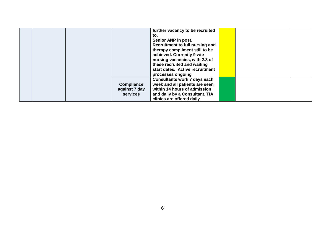|  |                   | further vacancy to be recruited     |  |  |
|--|-------------------|-------------------------------------|--|--|
|  |                   | to.                                 |  |  |
|  |                   | Senior ANP in post.                 |  |  |
|  |                   | Recruitment to full nursing and     |  |  |
|  |                   | therapy compliment still to be      |  |  |
|  |                   | achieved. Currently 9 wte           |  |  |
|  |                   | nursing vacancies, with 2.3 of      |  |  |
|  |                   | these recruited and waiting         |  |  |
|  |                   | start dates. Active recruitment     |  |  |
|  |                   | processes ongoing                   |  |  |
|  |                   | <b>Consultants work 7 days each</b> |  |  |
|  | <b>Compliance</b> | week and all patients are seen      |  |  |
|  | against 7 day     | within 14 hours of admission        |  |  |
|  | <b>services</b>   | and daily by a Consultant. TIA      |  |  |
|  |                   | clinics are offered daily.          |  |  |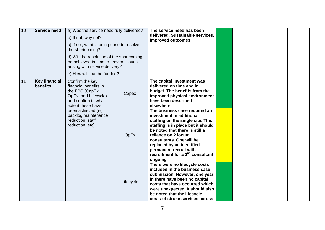| 10 | <b>Service need</b>                                                                                                                                                                                                                                     | a) Was the service need fully delivered?                                                                             |                                                                                                                                                                                                                                                                         | The service need has been                                                                                                                                                                                                                                                                                                                   |  |  |
|----|---------------------------------------------------------------------------------------------------------------------------------------------------------------------------------------------------------------------------------------------------------|----------------------------------------------------------------------------------------------------------------------|-------------------------------------------------------------------------------------------------------------------------------------------------------------------------------------------------------------------------------------------------------------------------|---------------------------------------------------------------------------------------------------------------------------------------------------------------------------------------------------------------------------------------------------------------------------------------------------------------------------------------------|--|--|
|    |                                                                                                                                                                                                                                                         | b) If not, why not?                                                                                                  |                                                                                                                                                                                                                                                                         | delivered. Sustainable services,<br>improved outcomes                                                                                                                                                                                                                                                                                       |  |  |
|    |                                                                                                                                                                                                                                                         | c) If not, what is being done to resolve<br>the shortcoming?                                                         |                                                                                                                                                                                                                                                                         |                                                                                                                                                                                                                                                                                                                                             |  |  |
|    |                                                                                                                                                                                                                                                         | d) Will the resolution of the shortcoming<br>be achieved in time to prevent issues<br>arising with service delivery? |                                                                                                                                                                                                                                                                         |                                                                                                                                                                                                                                                                                                                                             |  |  |
|    |                                                                                                                                                                                                                                                         | e) How will that be funded?                                                                                          |                                                                                                                                                                                                                                                                         |                                                                                                                                                                                                                                                                                                                                             |  |  |
| 11 | <b>Key financial</b><br>Confirm the key<br>benefits<br>financial benefits in<br>the FBC (CapEx,<br>OpEx, and Lifecycle)<br>and confirm to what<br>extent these have<br>been achieved (eg<br>backlog maintenance<br>reduction, staff<br>reduction, etc). |                                                                                                                      | Capex                                                                                                                                                                                                                                                                   | The capital investment was<br>delivered on time and in<br>budget. The benefits from the<br>improved physical environment<br>have been described<br>elsewhere.                                                                                                                                                                               |  |  |
|    |                                                                                                                                                                                                                                                         |                                                                                                                      | OpEx                                                                                                                                                                                                                                                                    | The business case required an<br>investment in additional<br>staffing on the single site. This<br>staffing is in place but it should<br>be noted that there is still a<br>reliance on 2 locum<br>consultants. One will be<br>replaced by an identified<br>permanent recruit with<br>recruitment for a 2 <sup>nd</sup> consultant<br>ongoing |  |  |
|    |                                                                                                                                                                                                                                                         | Lifecycle                                                                                                            | There were no lifecycle costs<br>included in the business case<br>submission. However, one year<br>in there have been no capital<br>costs that have occurred which<br>were unexpected. It should also<br>be noted that the lifecycle<br>costs of stroke services across |                                                                                                                                                                                                                                                                                                                                             |  |  |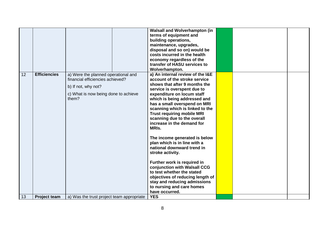|    |                     |                                                                                                                                                 | <b>Walsall and Wolverhampton (in</b><br>terms of equipment and<br>building operations,<br>maintenance, upgrades,<br>disposal and so on) would be<br>costs incurred in the health<br>economy regardless of the<br>transfer of HASU services to<br>Wolverhampton.                                                                                                                                                                                                                                                                                                                                                                                                                                                  |  |  |
|----|---------------------|-------------------------------------------------------------------------------------------------------------------------------------------------|------------------------------------------------------------------------------------------------------------------------------------------------------------------------------------------------------------------------------------------------------------------------------------------------------------------------------------------------------------------------------------------------------------------------------------------------------------------------------------------------------------------------------------------------------------------------------------------------------------------------------------------------------------------------------------------------------------------|--|--|
| 12 | <b>Efficiencies</b> | a) Were the planned operational and<br>financial efficiencies achieved?<br>b) If not, why not?<br>c) What is now being done to achieve<br>them? | a) An internal review of the I&E<br>account of the stroke service<br>shows that after 9 months the<br>service is overspent due to<br>expenditure on locum staff<br>which is being addressed and<br>has a small overspend on MRI<br>scanning which is linked to the<br><b>Trust requiring mobile MRI</b><br>scanning due to the overall<br>increase in the demand for<br>MRIs.<br>The income generated is below<br>plan which is in line with a<br>national downward trend in<br>stroke activity.<br>Further work is required in<br>conjunction with Walsall CCG<br>to test whether the stated<br>objectives of reducing length of<br>stay and reducing admissions<br>to nursing and care homes<br>have occurred. |  |  |
| 13 | <b>Project team</b> | a) Was the trust project team appropriate                                                                                                       | <b>YES</b>                                                                                                                                                                                                                                                                                                                                                                                                                                                                                                                                                                                                                                                                                                       |  |  |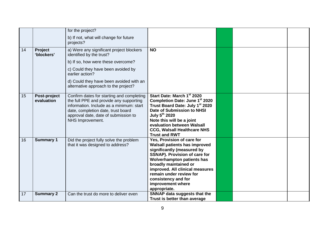|    |                            | for the project?                                                                                                                                                                                                                   |                                                                                                                                                                                                                                                                                                                           |  |  |
|----|----------------------------|------------------------------------------------------------------------------------------------------------------------------------------------------------------------------------------------------------------------------------|---------------------------------------------------------------------------------------------------------------------------------------------------------------------------------------------------------------------------------------------------------------------------------------------------------------------------|--|--|
|    |                            | b) If not, what will change for future<br>projects?                                                                                                                                                                                |                                                                                                                                                                                                                                                                                                                           |  |  |
| 14 | Project<br>'blockers'      | a) Were any significant project blockers<br>identified by the trust?                                                                                                                                                               | <b>NO</b>                                                                                                                                                                                                                                                                                                                 |  |  |
|    |                            | b) If so, how were these overcome?                                                                                                                                                                                                 |                                                                                                                                                                                                                                                                                                                           |  |  |
|    |                            | c) Could they have been avoided by<br>earlier action?                                                                                                                                                                              |                                                                                                                                                                                                                                                                                                                           |  |  |
|    |                            | d) Could they have been avoided with an<br>alternative approach to the project?                                                                                                                                                    |                                                                                                                                                                                                                                                                                                                           |  |  |
| 15 | Post-project<br>evaluation | Confirm dates for starting and completing<br>the full PPE and provide any supporting<br>information. Include as a minimum: start<br>date, completion date, trust board<br>approval date, date of submission to<br>NHS Improvement. | Start Date: March 1st 2020<br>Completion Date: June 1st 2020<br>Trust Board Date: July 1 <sup>st</sup> 2020<br>Date of Submission to NHSI<br>July 5th 2020<br>Note this will be a joint<br>evaluation between Walsall<br><b>CCG, Walsall Healthcare NHS</b><br><b>Trust and RWT</b>                                       |  |  |
| 16 | <b>Summary 1</b>           | Did the project fully solve the problem<br>that it was designed to address?                                                                                                                                                        | Yes, Provision of care for<br><b>Walsall patients has improved</b><br>significantly (measured by<br>SSNAP). Provision of care for<br><b>Wolverhampton patients has</b><br>broadly maintained or<br>improved. All clinical measures<br>remain under review for<br>consistency and for<br>improvement where<br>appropriate. |  |  |
| 17 | <b>Summary 2</b>           | Can the trust do more to deliver even                                                                                                                                                                                              | SNNAP data suggests that the<br>Trust is better than average                                                                                                                                                                                                                                                              |  |  |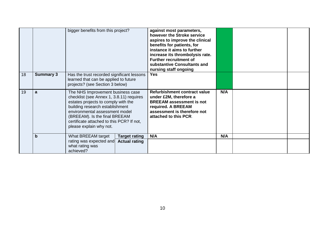| 18 | <b>Summary 3</b> | bigger benefits from this project?<br>Has the trust recorded significant lessons<br>learned that can be applied to future<br>projects? (see Section 3 below)                                                                                                                                                                                     | against most parameters,<br>however the Stroke service<br>aspires to improve the clinical<br>benefits for patients, for<br>instance it aims to further<br>increase its thrombolysis rate.<br><b>Further recruitment of</b><br>substantive Consultants and<br>nursing staff ongoing<br><b>Yes</b> |            |  |
|----|------------------|--------------------------------------------------------------------------------------------------------------------------------------------------------------------------------------------------------------------------------------------------------------------------------------------------------------------------------------------------|--------------------------------------------------------------------------------------------------------------------------------------------------------------------------------------------------------------------------------------------------------------------------------------------------|------------|--|
| 19 | a<br>b           | The NHS Improvement business case<br>checklist (see Annex 1, 3.8.11) requires<br>estates projects to comply with the<br>building research establishment<br>environmental assessment model<br>(BREEAM). Is the final BREEAM<br>certificate attached to this PCR? If not,<br>please explain why not.<br>What BREEAM target<br><b>Target rating</b> | Refurbishment contract value<br>under £2M, therefore a<br><b>BREEAM assessment is not</b><br>required. A BREEAM<br>assessment is therefore not<br>attached to this PCR.<br>N/A                                                                                                                   | N/A<br>N/A |  |
|    |                  | rating was expected and<br><b>Actual rating</b><br>what rating was<br>achieved?                                                                                                                                                                                                                                                                  |                                                                                                                                                                                                                                                                                                  |            |  |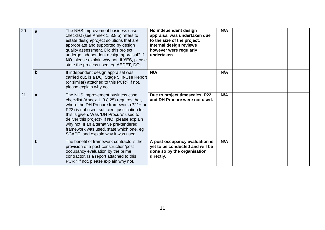| 20 | a           | The NHS Improvement business case<br>checklist (see Annex 1, 3.8.5) refers to<br>estate design/project solutions that are<br>appropriate and supported by design<br>quality assessment. Did this project<br>undergo independent design appraisal? If<br>NO, please explain why not. If YES, please<br>state the process used, eg AEDET, DQI.                                                        | No independent design<br>appraisal was undertaken due<br>to the size of the project.<br>Internal design reviews<br>however were regularly<br>undertaken. | N/A |  |
|----|-------------|-----------------------------------------------------------------------------------------------------------------------------------------------------------------------------------------------------------------------------------------------------------------------------------------------------------------------------------------------------------------------------------------------------|----------------------------------------------------------------------------------------------------------------------------------------------------------|-----|--|
|    | $\mathbf b$ | If independent design appraisal was<br>carried out, is a DQI Stage 5 In-Use Report<br>(or similar) attached to this PCR? If not,<br>please explain why not.                                                                                                                                                                                                                                         | N/A                                                                                                                                                      | N/A |  |
| 21 | a           | The NHS Improvement business case<br>checklist (Annex 1, 3.8.25) requires that,<br>where the DH Procure framework (P21+ or<br>P22) is not used, sufficient justification for<br>this is given. Was 'DH Procure' used to<br>deliver this project? If NO, please explain<br>why not. If an alternative pre-tendered<br>framework was used, state which one, eg<br>SCAPE, and explain why it was used. | Due to project timescales, P22<br>and DH Procure were not used.                                                                                          | N/A |  |
|    | $\mathbf b$ | The benefit of framework contracts is the<br>provision of a post-construction/post-<br>occupancy evaluation by the prime<br>contractor. Is a report attached to this<br>PCR? If not, please explain why not.                                                                                                                                                                                        | A post occupancy evaluation is<br>yet to be conducted and will be<br>done so by the organisation<br>directly.                                            | N/A |  |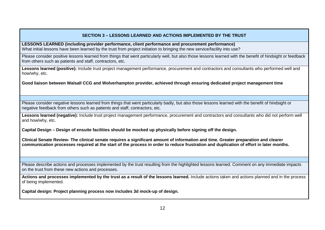### **SECTION 3 – LESSONS LEARNED AND ACTIONS IMPLEMENTED BY THE TRUST**

**LESSONS LEARNED (including provider performance, client performance and procurement performance)** What initial lessons have been learned by the trust from project initiation to bringing the new service/facility into use?

Please consider positive lessons learned from things that went particularly well, but also those lessons learned with the benefit of hindsight or feedback from others such as patients and staff, contractors, etc.

Lessons learned (positive): Include trust project management performance, procurement and contractors and consultants who performed well and how/why, etc.

**Good liaison between Walsall CCG and Wolverhampton provider, achieved through ensuring dedicated project management time**

Please consider negative lessons learned from things that went particularly badly, but also those lessons learned with the benefit of hindsight or negative feedback from others such as patients and staff, contractors, etc.

**Lessons learned (negative):** Include trust project management performance, procurement and contractors and consultants who did not perform well and how/why, etc.

**Capital Design – Design of ensuite facilities should be mocked up physically before signing off the design.**

**Clinical Senate Review- The clinical senate requires a significant amount of information and time. Greater preparation and clearer communication processes required at the start of the process in order to reduce frustration and duplication of effort in later months.** 

Please describe actions and processes implemented by the trust resulting from the highlighted lessons learned. Comment on any immediate impacts on the trust from these new actions and processes.

**Actions and processes implemented by the trust as a result of the lessons learned.** Include actions taken and actions planned and in the process of being implemented.

**Capital design: Project planning process now includes 3d mock-up of design.**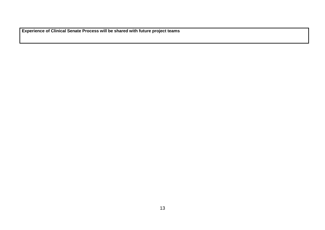**Experience of Clinical Senate Process will be shared with future project teams**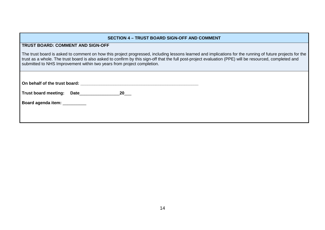#### **TRUST BOARD: COMMENT AND SIGN-OFF**

The trust board is asked to comment on how this project progressed, including lessons learned and implications for the running of future projects for the trust as a whole. The trust board is also asked to confirm by this sign-off that the full post-project evaluation (PPE) will be resourced, completed and submitted to NHS Improvement within two years from project completion.

**On behalf of the trust board: \_\_\_\_\_\_\_\_\_\_\_\_\_\_\_\_\_\_\_\_\_\_\_\_\_\_\_\_\_\_\_\_\_\_\_\_\_\_\_\_\_\_\_\_\_\_\_\_\_\_**

**Trust board meeting: Date**\_\_\_\_\_\_\_\_\_\_\_\_\_\_\_\_\_**20**\_\_\_

Board agenda item: **with any contract**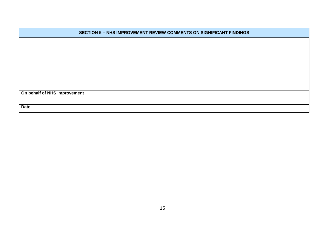| <b>SECTION 5 - NHS IMPROVEMENT REVIEW COMMENTS ON SIGNIFICANT FINDINGS</b> |  |  |  |  |  |
|----------------------------------------------------------------------------|--|--|--|--|--|
|                                                                            |  |  |  |  |  |
|                                                                            |  |  |  |  |  |
|                                                                            |  |  |  |  |  |
|                                                                            |  |  |  |  |  |
|                                                                            |  |  |  |  |  |
|                                                                            |  |  |  |  |  |
| On behalf of NHS Improvement                                               |  |  |  |  |  |
| <b>Date</b>                                                                |  |  |  |  |  |